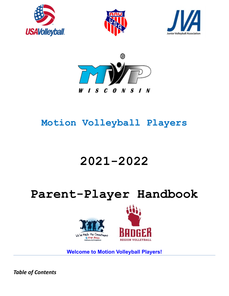







# **Motion Volleyball Players**

# **2021-2022**

# **Parent-Player Handbook**





**Welcome to Motion Volleyball Players!**

*Table of Contents*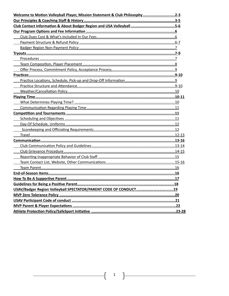| Welcome to Motion Volleyball Player, Mission Statement & Club Philosophy 2-3 |  |
|------------------------------------------------------------------------------|--|
|                                                                              |  |
|                                                                              |  |
|                                                                              |  |
|                                                                              |  |
|                                                                              |  |
|                                                                              |  |
|                                                                              |  |
|                                                                              |  |
|                                                                              |  |
|                                                                              |  |
|                                                                              |  |
|                                                                              |  |
|                                                                              |  |
|                                                                              |  |
|                                                                              |  |
|                                                                              |  |
|                                                                              |  |
|                                                                              |  |
|                                                                              |  |
|                                                                              |  |
|                                                                              |  |
|                                                                              |  |
|                                                                              |  |
|                                                                              |  |
|                                                                              |  |
|                                                                              |  |
|                                                                              |  |
|                                                                              |  |
|                                                                              |  |
|                                                                              |  |
|                                                                              |  |
|                                                                              |  |
|                                                                              |  |
|                                                                              |  |
|                                                                              |  |
|                                                                              |  |

 $\begin{pmatrix} 1 \end{pmatrix}$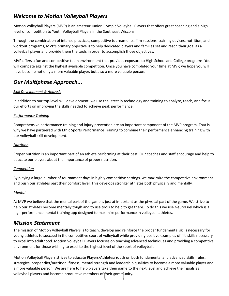# *Welcome to Motion Volleyball Players*

Motion Volleyball Players (MVP) is an amateur Junior Olympic Volleyball Players that offers great coaching and a high level of competition to Youth Volleyball Players in the Southeast Wisconsin.

Through the combination of intense practices, competitive tournaments, film sessions, training devices, nutrition, and workout programs, MVP's primary objective is to help dedicated players and families set and reach their goal as a volleyball player and provide them the tools in order to accomplish those objectives.

MVP offers a fun and competitive team environment that provides exposure to High School and College programs. You will compete against the highest available competition. Once you have completed your time at MVP, we hope you will have become not only a more valuable player, but also a more valuable person.

# *Our Multiphase Approach...*

## *Skill Development & Analysis*

In addition to our top-level skill development, we use the latest in technology and training to analyze, teach, and focus our efforts on improving the skills needed to achieve peak performance.

#### *Performance Training*

Comprehensive performance training and injury prevention are an important component of the MVP program. That is why we have partnered with Ethic Sports Performance Training to combine their performance enhancing training with our volleyball skill development.

#### *Nutrition*

Proper nutrition is an important part of an athlete performing at their best. Our coaches and staff encourage and help to educate our players about the importance of proper nutrition.

#### *Competition*

By playing a large number of tournament days in highly competitive settings, we maximize the competitive environment and push our athletes past their comfort level. This develops stronger athletes both physically and mentally.

#### *Mental*

At MVP we believe that the mental part of the game is just at important as the physical part of the game. We strive to help our athletes become mentally tough and to use tools to help to get there. To do this we use NeuroFuel which is a high-performance mental training app designed to maximize performance in volleyball athletes.

# *Mission Statement*

The mission of Motion Volleyball Players is to teach, develop and reinforce the proper fundamental skills necessary for young athletes to succeed in the competitive sport of volleyball while providing positive examples of life skills necessary to excel into adulthood. Motion Volleyball Players focuses on teaching advanced techniques and providing a competitive environment for those wishing to excel to the highest level of the sport of volleyball.

volleyball pl<u>ayers and become productive members of t</u>heir <u>oomm<mark>unity.</mark></u> Motion Volleyball Players strives to educate Players/Athletes/Youth on both fundamental and advanced skills, rules, strategies, proper diet/nutrition, fitness, mental strength and leadership qualities to become a more valuable player and a more valuable person. We are here to help players take their game to the next level and achieve their goals as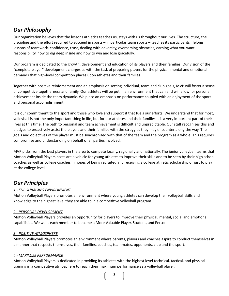# *Our Philosophy*

Our organization believes that the lessons athletics teaches us, stays with us throughout our lives. The structure, the discipline and the effort required to succeed in sports – in particular team sports – teaches its participants lifelong lessons of teamwork, confidence, trust, dealing with adversity, overcoming obstacles, earning what you want, responsibility, how to dig deep inside and how to win and lose gracefully.

Our program is dedicated to the growth, development and education of its players and their families. Our vision of the "complete player" development charges us with the task of preparing players for the physical, mental and emotional demands that high-level competition places upon athletes and their families.

Together with positive reinforcement and an emphasis on setting individual, team and club goals, MVP will foster a sense of competitive togetherness and family. Our athletes will be put in an environment that can and will allow for personal achievement inside the team dynamic. We place an emphasis on performance coupled with an enjoyment of the sport and personal accomplishment.

It is our commitment to the sport and those who love and support it that fuels our efforts. We understand that for most, volleyball is not the only important thing in life, but for our athletes and their families it is a very important part of their lives at this time. The path to personal and team achievement is difficult and unpredictable. Our staff recognizes this and pledges to proactively assist the players and their families with the struggles they may encounter along the way. The goals and objectives of the player must be synchronized with that of the team and the program as a whole. This requires compromise and understanding on behalf of all parties involved.

MVP picks from the best players in the area to compete locally, regionally and nationally. The junior volleyball teams that Motion Volleyball Players hosts are a vehicle for young athletes to improve their skills and to be seen by their high school coaches as well as college coaches in hopes of being recruited and receiving a college athletic scholarship or just to play at the college level.

# *Our Principles*

# *1 - ENCOURAGING ENVIRONMENT*

Motion Volleyball Players promotes an environment where young athletes can develop their volleyball skills and knowledge to the highest level they are able to in a competitive volleyball program.

## *2 - PERSONAL DEVELOPMENT*

Motion Volleyball Players provides an opportunity for players to improve their physical, mental, social and emotional capabilities. We want each member to become a More Valuable Player, Student, and Person.

## *3 - POSITIVE ATMOSPHERE*

Motion Volleyball Players promotes an environment where parents, players and coaches aspire to conduct themselves in a manner that respects themselves, their families, coaches, teammates, opponents, club and the sport.

## *4 - MAXIMIZE PERFORMANCE*

Motion Volleyball Players is dedicated in providing its athletes with the highest level technical, tactical, and physical training in a competitive atmosphere to reach their maximum performance as a volleyball player.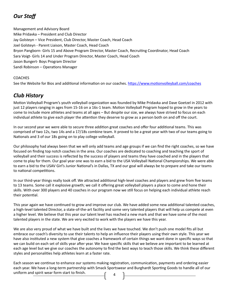# *Our Staff*

Management and Advisory Board Mike Pridavka – President and Club Director Jay Golsteyn – Vice President, Club Director, Master Coach, Head Coach Joel Golsteyn - Parent Liaison, Master Coach, Head Coach Bryon Pangborn- Girls 15 and Above Program Director, Master Coach, Recruiting Coordinator, Head Coach Sara Voigt- Girls 14 and Under Program Director, Master Coach, Head Coach Jason Bungert- Boys Program Director Sandi Robinson – Operations Manager

## **COACHES**

See the Website for Bios and additional information on our coaches.<https://www.motionvolleyball.com/coaches>

# *Club History*

Motion Volleyball Program's youth volleyball organization was founded by Mike Pridavka and Dave Goetzel in 2012 with just 12 players ranging in ages from 15-16 on a 16s-1 team. Motion Volleyball Program hoped to grow in the years to come to include more athletes and teams at all ages – But despite our size, we always have strived to focus on each individual athlete to give each player the attention they deserve to grow as a person both on and off the court.

In our second year we were able to secure three addition great coaches and offer four additional teams. This was comprised of two 12s, two 14s and a 17/18s combine team. It proved to be a great year with two of our teams going to Nationals and 3 of our 18s going on to play college volleyball.

Our philosophy had always been that we will only add teams and age groups if we can find the right coaches, so we have focused on finding top notch coaches in the area. Our coaches are dedicated to coaching and teaching the sport of volleyball and their success is reflected by the success of players and teams they have coached and in the players that come to play for them. Our goal year one was to earn a bid to the USA Volleyball National Championships. We were able to earn a bid to the USAV Girl's Junior National's in Dallas, TX and our goal will always be to prepare and take our teams to national competitions.

In our third-year things really took off. We attracted additional high-level coaches and players and grew from five teams to 13 teams. Some call it explosive growth; we call it offering great volleyball players a place to come and hone their skills. With over 300 players and 40 coaches in our program now we still focus on helping each individual athlete reach their potential.

This year again we have continued to grow and improve our club. We have added some new additional talented coaches, a high-level talented Director, a state-of-the-art facility and some very talented players that will help us compete at even a higher level. We believe that this year our talent level has reached a new mark and that we have some of the most talented players in the state. We are very excited to work with the players we have this year.

We are also very proud of what we have built and the lives we have touched. We don't push one model fits all but embrace our coach's diversity to use their talents to help an influence their players using their own style. This year we have also instituted a new system that give coaches a framework of certain things we want done in specific ways so that we can build on each set of skills year after year. We have specific skills that we believe are important to be learned at each age level but we give our coaches the autonomy to find the best ways to teach those skills. We think these different styles and personalities help athletes learn at a faster rate.

4 Each season we continue to enhance our systems making registration, communication, payments and ordering easier each year. We have a long-term partnership with Smack Sportswear and Burghardt Sporting Goods to handle all of our uniform and spirit wear form start to finish.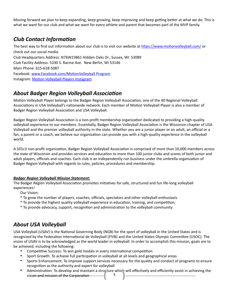Moving forward we plan to keep expanding, keep growing, keep improving and keep getting better at what we do. This is what we want for our club and what we want for every athlete and parent that becomes part of the MVP family.

# *Club Contact Information*

The best way to find out information about our club is to visit our website at <https://www.motionvolleyball.com/> or check out our social media. Club Headquarters Address: N76W23861 Hidden Oaks Dr., Sussex, WI 53089 Club Facility Address: 5330 S. Racine Ave. New Berlin, WI 53146 Main Phone: 615-618-5087 Facebook: [www.Facebook.com/Motion](http://www.Facebook.com/Motion)Volleyball Program Instagram: [Motion Volleyball Players Instagram](https://www.instagram.com/motionvolleyball/?hl=en)

# *About Badger Region Volleyball Association*

Motion Volleyball Player belongs to the Badger Region Volleyball Association, one of the 40 Regional Volleyball Associations in USA Volleyball's nationwide network. Each member of Motion Volleyball Player is also a member of Badger Region Volleyball Association and USA Volleyball.

Badger Region Volleyball Association is a non-profit membership organization dedicated to providing a high-quality volleyball experience to our members. Essentially, Badger Region Volleyball Association is the Wisconsin chapter of USA Volleyball and the premier volleyball authority in the state. Whether you are a junior player or an adult, an official or a fan, a parent or a coach, we believe our organization can provide you with a high-quality experience in the volleyball world.

A 501c3 non-profit organization, Badger Region Volleyball Association is comprised of more than 10,000 members across the state of Wisconsin and provides services and education to more than 100 junior clubs and scores of both junior and adult players, officials and coaches. Each club is an independently-run business under the umbrella organization of Badger Region Volleyball with regards to rules, policies, procedures and membership.

## *Badger Region Volleyball Mission Statement:*

The Badger Region Volleyball Association promotes initiatives for safe, structured and fun life-long volleyball experiences!

Our Vision:

- \* To grow the number of players, coaches, officials, spectators and other volleyball enthusiasts
- \* To provide the highest quality volleyball experience in education, training, and competition;
- \* To provide advocacy, support, recognition and administration to the volleyball community

# *About USA Volleyball*

USA Volleyball (USAV) is the National Governing Body (NGB) for the sport of volleyball in the United States and is recognized by the Federation International de Volleyball (FIVB) and the United States Olympic Committee (USOC). The vision of USAV is to be acknowledged as the world leader in volleyball. In order to accomplish this mission, goals are to be achieved, including the following:

- Competitive Success: To win gold medals in every international competition
- Sport Growth: To achieve full participation in volleyball at all levels and geographical areas
- Sports Enhancement: To improve support services necessary for the quality and conduct of programs to ensure recognition as the authority and expert for volleyball
- 5 • Administration: To develop and maintain a structure which will effectively and efficiently assist in achieving the vision and mission of the Corporation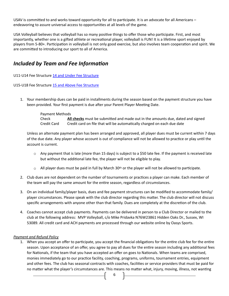USAV is committed to and works toward opportunity for all to participate. It is an advocate for all Americans – endeavoring to assure universal access to opportunities at all levels of the game.

USA Volleyball believes that volleyball has so many positive things to offer those who participate. First, and most importantly, whether one is a gifted athlete or recreational player, volleyball is FUN! It is a lifetime sport enjoyed by players from 5-80+. Participation in volleyball is not only good exercise, but also involves team cooperation and spirit. We are committed to introducing our sport to all of America.

# *Included by Team and Fee Information*

U11-U14 Fee Structure [14 and Under Fee Structure](https://ae72e327-03f3-4748-8aa6-56ccb0a83da6.filesusr.com/ugd/cac692_b7ed4bba9427425d83fe6db6cfa51792.pdf)

#### U15-U18 Fee Structure [15 and Above Fee Structure](https://ae72e327-03f3-4748-8aa6-56ccb0a83da6.filesusr.com/ugd/ed6bbc_af26ceba9e6540e3821daf01bbf8df06.pdf)

1. Your membership dues can be paid in installments during the season based on the payment structure you have been provided. Your first payment is due after your Parent Player Meeting Date.

# Payment Methods

Check **All checks** must be submitted and made out in the amounts due, dated and signed Credit Card Credit card on file that will be automatically charged on each due date

Unless an alternate payment plan has been arranged and approved, all player dues must be current within 7 days of the due date. Any player whose account is out of compliance will not be allowed to practice or play until the account is current.

- $\circ$  Any payment that is late (more than 15 days) is subject to a \$50 late fee. If the payment is received late but without the additional late fee, the player will not be eligible to play.
- $\circ$  All player dues must be paid in full by March 30<sup>th</sup> or the player will not be allowed to participate.
- 2. Club dues are not dependent on the number of tournaments or practices a player can make. Each member of the team will pay the same amount for the entire season, regardless of circumstances.
- 3. On an individual family/player basis, dues and fee payment structures can be modified to accommodate family/ player circumstances. Please speak with the club director regarding this matter. The club director will not discuss specific arrangements with anyone other than that family. Dues are completely at the discretion of the club.
- 4. Coaches cannot accept club payments. Payments can be delivered in person to a Club Director or mailed to the club at the following address: MVP Volleyball, c/o Mike Pridavka N76W23861 Hidden Oaks Dr., Sussex, WI 53089. All credit card and ACH payments are processed through our website online by Oasys Sports.

#### *Payment and Refund Policy*

1. When you accept an offer to participate, you accept the financial obligations for the entire club fee for the entire season. Upon acceptance of an offer, you agree to pay all dues for the entire season including any additional fees for Nationals, if the team that you have accepted an offer on goes to Nationals. When teams are comprised, monies immediately go to our practice facility, coaching, programs, uniforms, tournament entries, equipment and other fees. The club has seasonal contracts with coaches, facilities or service providers that must be paid for no matter what the player's circumstances are. This means no matter what, injury, moving, illness, not wanting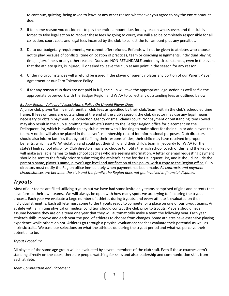to continue, quitting, being asked to leave or any other reason whatsoever you agree to pay the entire amount due.

- 2. If for some reason you decide not to pay the entire amount due, for any reason whatsoever, and the club is forced to take legal action to recover these fees by going to court, you will also be completely responsible for all collection, court costs and legal fees incurred by the club to collect the full amount plus any penalties.
- 3. Do to our budgetary requirements, we cannot offer refunds. Refunds will not be given to athletes who choose not to play because of conflicts, time or location of practices, team or coaching assignments, individual playing time, injury, illness or any other reason. Dues are NON-REFUNDABLE under any circumstances, even in the event that the athlete quits, is injured, ill or asked to leave the club at any point in the season for any reason.
- 4. Under no circumstances will a refund be issued if the player or parent violates any portion of our Parent Player Agreement or our Zero Tolerance Policy.
- 5. If for any reason club dues are not paid in full, the club will take the appropriate legal action as well as file the appropriate paperwork with the Badger Region and WIAA to collect any outstanding fees as outlined below:

#### *Badger Region Volleyball Association's Policy On Unpaid Player Dues*

A junior club player/family must remit all club fees as specified by their club/team, within the club's scheduled time frame. If fees or items are outstanding at the end of the club's season, the club director may use any legal means necessary to obtain payment, i.e. collection agency or small claims court. Nonpayment or outstanding items owed may also result in the club submitting the athlete's name to the Badger Region office for placement on the Delinquent List, which is available to any club director who is looking to make offers for their club or add players to a team. A notice will also be placed in the player's membership record for informational purposes. Club directors should also inform families that by not fulfilling their responsibilities, their child may have received improper benefits, which is a WIAA violation and could put their child and their child's team in jeopardy for WIAA (or their state's) high school eligibility. Club directors may also choose to notify the high school coach of this, and the Region will make available names to high school coaches who are seeking information. A letter or email requesting payment should be sent to the family prior to submitting the athlete's name for the Delinquent List, and it should include the parent's name, player's name, player's age level and notification of this policy, with a copy to the Region office. Club directors must notify the Region office immediately when payment has been made. *All contracts and payment circumstances are between the club and the family, the Region does not get involved in financial disputes.*

# *Tryouts*

Most of our teams are filled utilizing tryouts but we have had some invite only teams comprised of girls and parents that have formed their own teams. We will always be open with how many spots we are trying to fill during the tryout process. Each year we evaluate a large number of athletes during tryouts, and every athlete is evaluated on their individual strengths. Each athlete must come to the tryouts ready to compete for a place on one of our tryout teams. An athlete with a limiting physical or medical condition should contact the club prior to tryouts. Players should never assume because they are on a team one year that they will automatically make a team the following year. Each year athlete's skills improve and each year the pool of athletes to choose from changes. Some athletes have extensive playing experience while others do not. Athletes go through a physical evaluation; coaches evaluate their potential as well as intrinsic traits. We base our selections on what the athletes do during the tryout period and what we perceive their potential to be.

## *Tryout Procedure*

All players of the same age group will be evaluated by several members of the club staff. Even if these coaches aren't standing directly on the court, there are people watching for skills and also leadership and communication skills from each athlete.

## *Team Composition and Placement*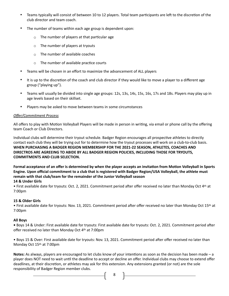- Teams typically will consist of between 10 to 12 players. Total team participants are left to the discretion of the club director and team coach.
- The number of teams within each age group is dependent upon:
	- $\circ$  The number of players at that particular age
	- o The number of players at tryouts
	- o The number of available coaches
	- $\circ$  The number of available practice courts
- Teams will be chosen in an effort to maximize the advancement of ALL players
- It is up to the discretion of the coach and club director if they would like to move a player to a different age group ("playing up").
- Teams will usually be divided into single age groups: 12s, 13s, 14s, 15s, 16s, 17s and 18s. Players may play up in age levels based on their skillset.
- Players may be asked to move between teams in some circumstances

#### *Offer/Commitment Process*

All offers to play with Motion Volleyball Players will be made in person in writing, via email or phone call by the offering team Coach or Club Directors.

Individual clubs will determine their tryout schedule. Badger Region encourages all prospective athletes to directly contact each club they will be trying out for to determine how the tryout processes will work on a club-to-club basis. **WHEN PURCHASING A BADGER REGION MEMBERSHIP FOR THE 2021-22 SEASON, ATHLETES, COACHES AND DIRECTROS ARE AGREEING TO ABIDE BY ALL BADGER REGION POLICIES, INCLUDING THOSE FOR TRYOUTS, COMMITMENTS AND CLUB SELECTION.**

**Formal acceptance of an offer is determined by when the player accepts an invitation from Motion Volleyball in Sports Engine. Upon official commitment to a club that is registered with Badger Region/USA Volleyball, the athlete must remain with that club/team for the remainder of the Junior Volleyball season**

## **14 & Under Girls**

• First available date for tryouts: Oct. 2, 2021. Commitment period after offer received no later than Monday Oct 4th at 7:00pm

#### **15 & Older Girls**

• First available date for tryouts: Nov. 13, 2021. Commitment period after offer received no later than Monday Oct 15th at 7:00pm

#### **All Boys**

**•** Boys 14 & Under: First available date for tryouts: First available date for tryouts: Oct. 2, 2021. Commitment period after offer received no later than Monday Oct 4th at 7:00pm

• Boys 15 & Over: First available date for tryouts: Nov. 13, 2021. Commitment period after offer received no later than Monday Oct 15th at 7:00pm

**Notes:** As always, players are encouraged to let clubs know of your intentions as soon as the decision has been made – a player does NOT need to wait until the deadline to accept or decline an offer. Individual clubs may choose to extend offer deadlines, at their discretion, or athletes may ask for this extension. Any extensions granted (or not) are the sole responsibility of Badger Region member clubs.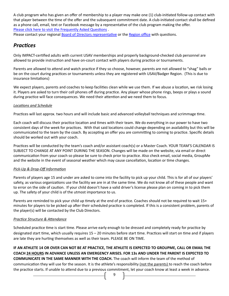A club program who has given an offer of membership to a player may make one (1) club-initiated follow-up contact with that player between the time of the offer and the subsequent commitment date. A club-initiated contact shall be defined as a phone call, email, text or Facebook message by a representative of the club program making the offer. [Please click here to visit the Frequently Asked Questions](http://badgervolleyball.org/badger/membership-registrations-faqs/) .

Please contact your regional **Board of Directors representative or the Region office** with questions.

# *Practices*

Only IMPACT-certified adults with current USAV memberships and properly background-checked club personnel are allowed to provide instruction and have on-court contact with players during practice or tournaments.

Parents are allowed to attend and watch practice if they so choose, however, parents are not allowed to "shag" balls or be on the court during practices or tournaments unless they are registered with USAV/Badger Region. (This is due to insurance limitations)

We expect players, parents and coaches to keep facilities clean while we use them. If we abuse a location, we risk losing it. Players are asked to turn their cell phones off during practice. Any player whose phone rings, beeps or plays a sound during practice will face consequences. We need their attention and we need them to focus.

#### *Locations and Schedule*

Practices will last approx. two hours and will include basic and advanced volleyball techniques and scrimmage time.

Each coach will discuss their practice location and times with their team. We do everything in our power to have two consistent days of the week for practices. With that said locations could change depending on availability but this will be communicated to the team by the coach. By accepting an offer you are committing to coming to practice. Specific details should be worked out with your coach.

Practices will be conducted by the team's coach and/or assistant coach(s) or a Master Coach. YOUR TEAM'S CALENDAR IS SUBJECT TO CHANGE AT ANY POINT DURING THE SEASON. Changes will be made on the website, via email or direct communication from your coach so please be sure to check prior to practice. Also check email, social media, GroupMe and the website in the event of seasonal weather which may cause cancellation, location or time changes.

#### *Pick-Up & Drop-Off Information*

Parents of players age 15 and under are asked to come into the facility to pick up your child. This is for all of our players' safety, as various organizations use the facility we are in at the same time. We do not know all of these people and want to error on the side of caution. If your child doesn't have a valid driver's license please plan on coming in to pick them up. The safety of your child is of the utmost importance to us.

Parents are reminded to pick your child up timely at the end of practice. Coaches should not be required to wait 15+ minutes for players to be picked up after their scheduled practice is completed. If this is a consistent problem, parents of the player(s) will be contacted by the Club Directors.

#### *Practice Structure & Attendance*

Scheduled practice time is start time. Please arrive early enough to be dressed and completely ready for practice by designated start time, which usually requires 15 – 20 minutes before start time. Practices will start on time and if players are late they are hurting themselves as well as their team. PLEASE BE ON TIME.

**IF AN ATHLETE 14 OR OVER CAN NOT BE AT PRACTICE, THE ATHLETE IS EXPECTED TO GROUPME, CALL OR EMAIL THE COACH 24 HOURS IN ADVANCE UNLESS AN EMERGENCY ARISES. FOR 13s AND UNDER THE PARENT IS EXPECTED TO COMMUNICATE IN THE SAME MANNER WITH THE COACH.** The coach will inform the team of the method of communication they will use for the season. It is the athlete's responsibility (not the parents) to reach the coach before the practice starts. If unable to attend due to a previous commitment, let your coach know at least a week in advance.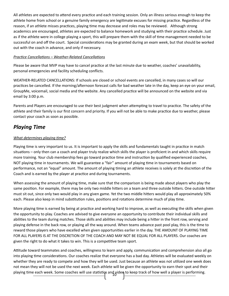All athletes are expected to attend every practice and each training session. Only an illness serious enough to keep the athlete home from school or a genuine family emergency are legitimate excuses for missing practice. Regardless of the reason, if an athlete misses practices, playing time may decrease and roles may be reviewed. Although strong academics are encouraged, athletes are expected to balance homework and studying with their practice schedule. Just as if the athlete were in college playing a sport, this will prepare them with the skill of time management needed to be successful on and off the court. Special considerations may be granted during an exam week, but that should be worked out with the coach in advance, and only if necessary.

#### *Practice Cancellations – Weather-Related Cancellations*

Please be aware that MVP may have to cancel practice at the last minute due to weather, coaches' unavailability, personal emergencies and facility scheduling conflicts.

WEATHER-RELATED CANCELLATIONS: If schools are closed or school events are cancelled, in many cases so will our practices be cancelled. If the morning/afternoon forecast calls for bad weather late in the day, keep an eye on your email, GroupMe, voicemail, social media and the website. Any cancelled practice will be announced on the website and via email by 3:00 p.m.

Parents and Players are encouraged to use their best judgment when attempting to travel to practice. The safety of the athlete and their family is our first concern and priority. If you will not be able to make practice due to weather, please contact your coach as soon as possible.

# *Playing Time*

#### *What determines playing time?*

Playing time is very important to us. It is important to apply the skills and fundamentals taught in practice in match situations – only then can a coach and player truly realize which skills the player is proficient in and which skills require more training. Your club membership fees go toward practice time and instruction by qualified experienced coaches, NOT playing time in tournaments. We will guarantee a "fair" amount of playing time in tournaments based on performance, not an "equal" amount. The amount of playing timing an athlete receives is solely at the discretion of the Coach and is earned by the player at practice and during tournaments.

When assessing the amount of playing time, make sure that the comparison is being made about players who play the same position. For example, there may be only two middle hitters on a team and three outside hitters. One outside hitter must sit out, since only two would play in any given game. Yet the two middle hitters would play all approximately 50% each. Please also keep in mind substitution rules, positions and rotations determine much of play time.

More playing time is earned by being at practice and working hard to improve, as well as executing the skills when given the opportunity to play. Coaches are advised to give everyone an opportunity to contribute their individual skills and abilities to the team during matches. Those skills and abilities may include being a hitter in the front row, serving and playing defense in the back row, or playing all the way around. When teams advance past pool play, this is the time to reward those players who have excelled when given opportunities earlier in the day. THE AMOUNT OF PLAYING TIME FOR ALL PLAYERS IS AT THE DISCRETION OF THE COACH AND MAY NOT BE EQUAL FOR ALL PLAYERS. Our coaches are given the right to do what it takes to win. This is a competitive team sport.

10 playing time each week. Some coaches will use statistics and video to keep track of how well a player is performing. Attitude toward teammates and coaches, willingness to learn and apply, communication and comprehension also all go into playing time considerations. Our coaches realize that everyone has a bad day. Athletes will be evaluated weekly on whether they are ready to compete and how they will be used. Just because an athlete was not utilized one week does not mean they will not be used the next week. Each athlete will be given the opportunity to earn their spot and their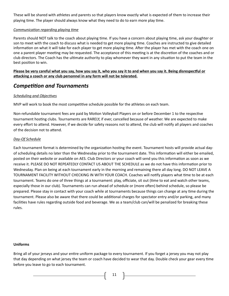These will be shared with athletes and parents so that players know exactly what is expected of them to increase their playing time. The player should always know what they need to do to earn more play time.

#### *Communication regarding playing time*

Parents should NOT talk to the coach about playing time. If you have a concern about playing time, ask your daughter or son to meet with the coach to discuss what is needed to get more playing time. Coaches are instructed to give detailed information on what it will take for each player to get more playing time. After the player has met with the coach one on one a parent player meeting may be requested. The acceptance of this meeting is at the discretion of the coaches and or club directors. The Coach has the ultimate authority to play whomever they want in any situation to put the team in the best position to win.

**Please be very careful what you say, how you say it, who you say it to and when you say it. Being disrespectful or attacking a coach or any club personnel in any form will not be tolerated.**

# *Competition and Tournaments*

#### *Scheduling and Objectives*

MVP will work to book the most competitive schedule possible for the athletes on each team.

Non-refundable tournament fees are paid by Motion Volleyball Players on or before December 1 to the respective tournament hosting clubs. Tournaments are RARELY, if ever, cancelled because of weather. We are expected to make every effort to attend. However, if we decide for safety reasons not to attend, the club will notify all players and coaches of the decision not to attend.

#### *Day-Of Schedule*

Each tournament format is determined by the organization hosting the event. Tournament hosts will provide actual dayof scheduling details no later than the Wednesday prior to the tournament date. This information will either be emailed, posted on their website or available on AES. Club Directors or your coach will send you this information as soon as we receive it. PLEASE DO NOT REPEATEDLY CONTACT US ABOUT THE SCHEDULE as we do not have this information prior to Wednesday. Plan on being at each tournament early in the morning and remaining there all day long. DO NOT LEAVE A TOURNAMENT FACILITY WITHOUT CHECKING IN WITH YOUR COACH. Coaches will notify players what time to be at each tournament. Teams do one of three things at a tournament: play, officiate, sit out (time to eat and watch other teams, especially those in our club). Tournaments can run ahead of schedule or (more often) behind schedule, so please be prepared. Please stay in contact with your coach while at tournaments because things can change at any time during the tournament. Please also be aware that there could be additional charges for spectator entry and/or parking, and many facilities have rules regarding outside food and beverage. We as a team/club can/will be penalized for breaking these rules.

#### **Uniforms**

Bring all of your jerseys and your entire uniform package to every tournament. If you forget a jersey you may not play that day depending on what jersey the team or coach have decided to wear that day. Double check your gear every time before you leave to go to each tournament.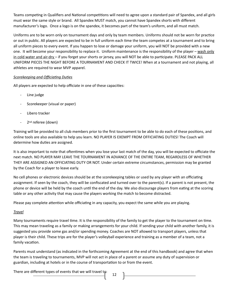Teams competing in Qualifiers and National competitions will need to agree upon a standard pair of Spandex, and all girls must wear the same style or brand. All Spandex MUST match, you cannot have Spandex shorts with different manufacturer's logo. Once a logo is on the spandex, it becomes part of the team's uniform, and all must match.

Uniforms are to be worn only on tournament days and only by team members. Uniforms should not be worn for practice or out in public. All players are expected to be in full uniform each time the team competes at a tournament and to bring all uniform pieces to every event. If you happen to lose or damage your uniform, you will NOT be provided with a new one. It will become your responsibility to replace it. Uniform maintenance is the responsibility of the player – wash only in cold water and air-dry – if you forget your shorts or jersey, you will NOT be able to participate. PLEASE PACK ALL UNIFORM PIECES THE NIGHT BEFORE A TOURNAMENT AND CHECK IT TWICE! When at a tournament and not playing, all athletes are required to wear MVP apparel.

#### *Scorekeeping and Officiating Duties*

All players are expected to help officiate in one of these capacities:

- Line judge
- Scorekeeper (visual or paper)
- Libero tracker
- 2<sup>nd</sup> referee (down)

Training will be provided to all club members prior to the first tournament to be able to do each of these positions, and online tools are also available to help you learn. NO PLAYER IS EXEMPT FROM OFFICIATING DUTIES! The Coach will determine how duties are assigned.

It is also important to note that oftentimes when you lose your last match of the day, you will be expected to officiate the next match. NO PLAYER MAY LEAVE THE TOURNAMENT IN ADVANCE OF THE ENTIRE TEAM, REGARDLESS OF WHETHER THEY ARE ASSIGNED AN OFFICIATING DUTY OR NOT. Under certain extreme circumstances, permission may be granted by the Coach for a player to leave early.

No cell phones or electronic devices should be at the scorekeeping tables or used by any player with an officiating assignment. If seen by the coach, they will be confiscated and turned over to the parent(s). If a parent is not present, the phone or device will be held by the coach until the end of the day. We also discourage players from eating at the scoring table or any other activity that may cause the players working the match to become distracted.

Please pay complete attention while officiating in any capacity, you expect the same while you are playing.

#### *Travel*

Many tournaments require travel time. It is the responsibility of the family to get the player to the tournament on time. This may mean traveling as a family or making arrangements for your child. If sending your child with another family, it is suggested you provide some gas and/or spending money. Coaches are NOT allowed to transport players, unless that player is their child. These trips are for the player's volleyball experience and training as a member of a team, not a family vacation.

Parents must understand (as indicated in the forthcoming Agreement at the end of this handbook) and agree that when the team is traveling to tournaments, MVP will not act in place of a parent or assume any duty of supervision or guardian, including at hotels or in the course of transportation to or from the event.

There are different types of events that we will travel to: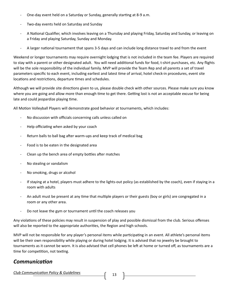- One-day event held on a Saturday or Sunday, generally starting at 8-9 a.m.
- Two-day events held on Saturday and Sunday
- A National Qualifier, which involves leaving on a Thursday and playing Friday, Saturday and Sunday, or leaving on a Friday and playing Saturday, Sunday and Monday.
- A larger national tournament that spans 3-5 days and can include long distance travel to and from the event

Weekend or longer tournaments may require overnight lodging that is not included in the team fee. Players are required to stay with a parent or other designated adult. You will need additional funds for food, t-shirt purchases, etc. Any flights will be the sole responsibility of the individual family. MVP will provide the Team Rep and all parents a set of travel parameters specific to each event, including earliest and latest time of arrival, hotel check-in procedures, event site locations and restrictions, departure times and schedules.

Although we will provide site directions given to us, please double check with other sources. Please make sure you know where you are going and allow more than enough time to get there. Getting lost is not an acceptable excuse for being late and could jeopardize playing time.

All Motion Volleyball Players will demonstrate good behavior at tournaments, which includes:

- No discussion with officials concerning calls unless called on
- Help officiating when asked by your coach
- Return balls to ball bag after warm-ups and keep track of medical bag
- Food is to be eaten in the designated area
- Clean up the bench area of empty bottles after matches
- No stealing or vandalism
- No smoking, drugs or alcohol
- If staying at a hotel, players must adhere to the lights-out policy (as established by the coach), even if staying in a room with adults
- An adult must be present at any time that multiple players or their guests (boy or girls) are congregated in a room or any other area.
- Do not leave the gym or tournament until the coach releases you

Any violations of these policies may result in suspension of play and possible dismissal from the club. Serious offenses will also be reported to the appropriate authorities, the Region and high schools.

MVP will not be responsible for any player's personal items while participating in an event. All athlete's personal items will be their own responsibility while playing or during hotel lodging. It is advised that no jewelry be brought to tournaments as it cannot be worn. It is also advised that cell phones be left at home or turned off, as tournaments are a time for competition, not texting.

# *Communication*

*Club Communication Policy & Guidelines*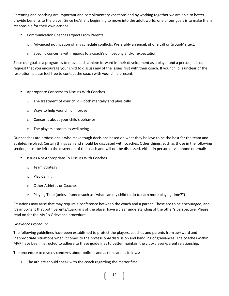Parenting and coaching are important and complimentary vocations and by working together we are able to better provide benefits to the player. Since he/she is beginning to move into the adult world, one of our goals is to make them responsible for their own actions.

- Communication Coaches Expect From Parents
	- o Advanced notification of any schedule conflicts. Preferably an email, phone call or GroupMe text.
	- $\circ$  Specific concerns with regards to a coach's philosophy and/or expectation.

Since our goal as a program is to move each athlete forward in their development as a player and a person, it is our request that you encourage your child to discuss any of the issues first with their coach. If your child is unclear of the resolution, please feel free to contact the coach with your child present.

- Appropriate Concerns to Discuss With Coaches
	- $\circ$  The treatment of your child both mentally and physically
	- o Ways to help your child improve
	- o Concerns about your child's behavior
	- o The players academics well being

Our coaches are professionals who make tough decisions based on what they believe to be the best for the team and athletes involved. Certain things can and should be discussed with coaches. Other things, such as those in the following section, must be left to the discretion of the coach and will not be discussed, either in person or via phone or email:

- Issues Not Appropriate To Discuss With Coaches
	- o Team Strategy
	- o Play Calling
	- o Other Athletes or Coaches
	- $\circ$  Playing Time (unless framed such as "what can my child to do to earn more playing time?")

Situations may arise that may require a conference between the coach and a parent. These are to be encouraged, and it's important that both parents/guardians of the player have a clear understanding of the other's perspective. Please read on for the MVP's Grievance procedure.

#### *Grievance Procedure*

The following guidelines have been established to protect the players, coaches and parents from awkward and inappropriate situations when it comes to the professional discussion and handling of grievances. The coaches within MVP have been instructed to adhere to these guidelines to better maintain the club/player/parent relationship.

The procedure to discuss concerns about policies and actions are as follows:

1. The athlete should speak with the coach regarding the matter first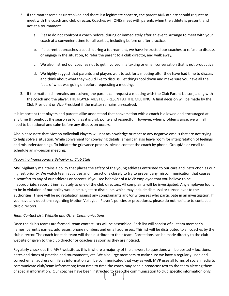- 2. If the matter remains unresolved and there is a legitimate concern, the parent AND athlete should request to meet with the coach and club director. Coaches will ONLY meet with parents when the athlete is present, and not at a tournament.
	- a. Please do not confront a coach before, during or immediately after an event. Arrange to meet with your coach at a convenient time for all parties, including before or after practice.
	- b. If a parent approaches a coach during a tournament, we have instructed our coaches to refuse to discuss or engage in the situation, to refer the parent to a club director, and walk away.
	- c. We also instruct our coaches not to get involved in a texting or email conversation that is not productive.
	- d. We highly suggest that parents and players wait to ask for a meeting after they have had time to discuss and think about what they would like to discuss. Let things cool down and make sure you have all the facts of what was going on before requesting a meeting.
- 3. If the matter still remains unresolved, the parent can request a meeting with the Club Parent Liaison, along with the coach and the player. THE PLAYER MUST BE PRESENT AT THE MEETING. A final decision will be made by the Club President or Vice President if the matter remains unresolved.

It is important that players and parents alike understand that conversation with a coach is allowed and encouraged at any time throughout the season as long as it is civil, polite and respectful. However, when problems arise, we will all need to be rational and calm before any discussion occurs.

Also please note that Motion Volleyball Players will not acknowledge or react to any negative emails that are not trying to help solve a situation. While convenient for conveying details, email can also leave room for interpretation of feelings and misunderstandings. To initiate the grievance process, please contact the coach by phone, GroupMe or email to schedule an in-person meeting.

#### *Reporting Inappropriate Behavior of Club Staff*

MVP vigilantly maintains a policy that places the safety of the young athletes entrusted to our care and instruction as our highest priority. We watch team activities and interactions closely to try to prevent any miscommunication that causes discomfort to any of our athletes or parents. If you see behavior of a MVP employee that you believe to be inappropriate, report it immediately to one of the club directors. All complaints will be investigated. Any employee found to be in violation of our policy would be subject to discipline, which may include dismissal or turned over to the authorities. There will be no retaliation against any complainants and/or witnesses who participate in an investigation. If you have any questions regarding Motion Volleyball Player's policies or procedures, please do not hesitate to contact a club directors.

#### *Team Contact List, Website and Other Communications*

Once the club's teams are formed, team contact lists will be assembled. Each list will consist of all team member's names, parent's names, addresses, phone numbers and email addresses. This list will be distributed to all coaches by the club director. The coach for each team will then distribute to their team. Corrections can be made directly to the club website or given to the club director or coaches as soon as they are noticed.

15 Regularly check out the MVP website as this is where a majority of the answers to questions will be posted – locations, dates and times of practice and tournaments, etc. We also urge members to make sure we have a regularly-used and correct email address on file as information will be communicated that way as well. MVP uses all forms of social media to communicate club/team information; from time to time the coach may send a broadcast text to the team alerting them of special information. Our coaches have been instructed to keep the communication to club specific information only.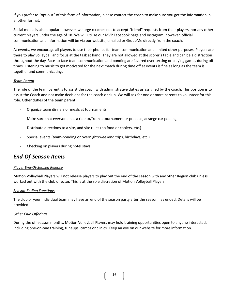If you prefer to "opt out" of this form of information, please contact the coach to make sure you get the information in another format.

Social media is also popular; however, we urge coaches not to accept "friend" requests from their players, nor any other current players under the age of 18. We will utilize our MVP Facebook page and Instagram; however, official communication and information will be via our website, emailed or GroupMe directly from the coach.

At events, we encourage all players to use their phones for team communication and limited other purposes. Players are there to play volleyball and focus at the task at hand. They are not allowed at the scorer's table and can be a distraction throughout the day. Face-to-face team communication and bonding are favored over texting or playing games during off times. Listening to music to get motivated for the next match during time off at events is fine as long as the team is together and communicating.

#### *Team Parent*

The role of the team parent is to assist the coach with administrative duties as assigned by the coach. This position is to assist the Coach and not make decisions for the coach or club. We will ask for one or more parents to volunteer for this role. Other duties of the team parent:

- Organize team dinners or meals at tournaments
- Make sure that everyone has a ride to/from a tournament or practice, arrange car pooling
- Distribute directions to a site, and site rules (no food or coolers, etc.)
- Special events (team-bonding or overnight/weekend trips, birthdays, etc.)
- Checking on players during hotel stays

# *End-Of-Season Items*

#### *Player End-Of-Season Release*

Motion Volleyball Players will not release players to play out the end of the season with any other Region club unless worked out with the club director. This is at the sole discretion of Motion Volleyball Players.

#### *Season-Ending Functions*

The club or your individual team may have an end of the season party after the season has ended. Details will be provided.

#### *Other Club Offerings*

During the off-season months, Motion Volleyball Players may hold training opportunities open to anyone interested, including one-on-one training, tuneups, camps or clinics. Keep an eye on our website for more information.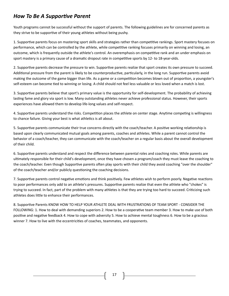# *How To Be A Supportive Parent*

Youth programs cannot be successful without the support of parents. The following guidelines are for concerned parents as they strive to be supportive of their young athletes without being pushy.

1. Supportive parents focus on mastering sport skills and strategies rather than competitive rankings. Sport mastery focuses on performance, which can be controlled by the athlete, while competitive ranking focuses primarily on winning and losing, an outcome, which is frequently outside the athlete's control. An overemphasis on competitive rank and an under emphasis on sport mastery is a primary cause of a dramatic dropout rate in competitive sports by 12- to 18-year-olds.

2. Supportive parents decrease the pressure to win. Supportive parents realize that sport creates its own pressure to succeed. Additional pressure from the parent is likely to be counterproductive, particularly, in the long run. Supportive parents avoid making the outcome of the game bigger than life. As a game or a competition becomes blown out of proportion, a youngster's self-esteem can become tied to winning or losing. A child should not feel less valuable or less loved when a match is lost.

3. Supportive parents believe that sport's primary value is the opportunity for self-development. The probability of achieving lasting fame and glory via sport is low. Many outstanding athletes never achieve professional status. However, their sports experiences have allowed them to develop life-long values and self-respect.

4. Supportive parents understand the risks. Competition places the athlete on center stage. Anytime competing is willingness to chance failure. Giving your best is what athletics is all about.

5. Supportive parents communicate their true concerns directly with the coach/teacher. A positive working relationship is based upon clearly communicated mutual goals among parents, coaches and athletes. While a parent cannot control the behavior of a coach/teacher, they can communicate with the coach/teacher on a regular basis about the overall development of their child.

6. Supportive parents understand and respect the difference between parental roles and coaching roles. While parents are ultimately responsible for their child's development, once they have chosen a program/coach they must leave the coaching to the coach/teacher. Even though Supportive parents often play sports with their child they avoid coaching "over the shoulder" of the coach/teacher and/or publicly questioning the coaching decisions.

7. Supportive parents control negative emotions and think positively. Few athletes wish to perform poorly. Negative reactions to poor performances only add to an athlete's pressures. Supportive parents realize that even the athlete who "chokes" is trying to succeed. In fact, part of the problem with many athletes is that they are trying too hard to succeed. Criticizing such athletes does little to enhance their performances.

8. Supportive Parents KNOW HOW TO HELP YOUR ATHLETE DEAL WITH FRUSTRATIONS OF TEAM SPORT - CONSIDER THE FOLLOWING: 1. How to deal with demanding superiors 2. How to be a cooperative team member 3. How to make use of both positive and negative feedback 4. How to cope with adversity 5. How to achieve mental toughness 6. How to be a gracious winner 7. How to live with the eccentricities of coaches, teammates, and opponents.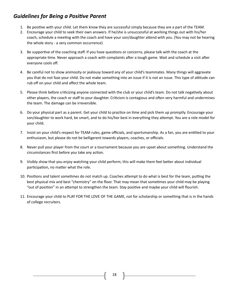# *Guidelines for Being a Positive Parent*

- 1. Be positive with your child. Let them know they are successful simply because they are a part of the TEAM.
- 2. Encourage your child to seek their own answers. If he/she is unsuccessful at working things out with his/her coach, schedule a meeting with the coach and have your son/daughter attend with you. (You may not be hearing the whole story - a very common occurrence)
- 3. Be supportive of the coaching staff. If you have questions or concerns, please talk with the coach at the appropriate time. Never approach a coach with complaints after a tough game. Wait and schedule a visit after everyone cools off.
- 4. Be careful not to show animosity or jealousy toward any of your child's teammates. Many things will aggravate you that do not faze your child. Do not make something into an issue if it is not an issue. This type of attitude can rub off on your child and affect the whole team.
- 5. Please think before criticizing anyone connected with the club or your child's team. Do not talk negatively about other players, the coach or staff to your daughter. Criticism is contagious and often very harmful and undermines the team. The damage can be irreversible.
- 6. Do your physical part as a parent. Get your child to practice on time and pick them up promptly. Encourage your son/daughter to work hard, be smart, and to do his/her best in everything they attempt. You are a role model for your child.
- 7. Insist on your child's respect for TEAM rules, game officials, and sportsmanship. As a fan, you are entitled to your enthusiasm, but please do not be belligerent towards players, coaches, or officials.
- 8. Never pull your player from the court or a tournament because you are upset about something. Understand the circumstances first before you take any action.
- 9. Visibly show that you enjoy watching your child perform; this will make them feel better about individual participation, no matter what the role.
- 10. Positions and talent sometimes do not match up. Coaches attempt to do what is best for the team, putting the best physical mix and best "chemistry" on the floor. That may mean that sometimes your child may be playing "out of position" in an attempt to strengthen the team. Stay positive and maybe your child will flourish.
- 11. Encourage your child to PLAY FOR THE LOVE OF THE GAME, not for scholarship or something that is in the hands of college recruiters.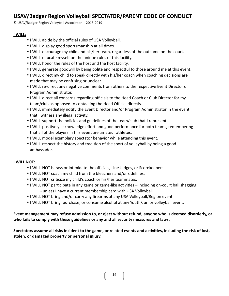# **USAV/Badger Region Volleyball SPECTATOR/PARENT CODE OF CONDUCT**

© USAV/Badger Region Volleyball Association – 2018-2019

#### **I WILL:**

- I WILL abide by the official rules of USA Volleyball.
- I WILL display good sportsmanship at all times.
- I WILL encourage my child and his/her team, regardless of the outcome on the court.
- I WILL educate myself on the unique rules of this facility.
- I WILL honor the rules of the host and the host facility.
- I WILL generate goodwill by being polite and respectful to those around me at this event.
- I WILL direct my child to speak directly with his/her coach when coaching decisions are made that may be confusing or unclear.
- I WILL re-direct any negative comments from others to the respective Event Director or Program Administrator.
- I WILL direct all concerns regarding officials to the Head Coach or Club Director for my team/club as opposed to contacting the Head Official directly.
- I WILL immediately notify the Event Director and/or Program Administrator in the event that I witness any illegal activity.
- I WILL support the policies and guidelines of the team/club that I represent.
- I WILL positively acknowledge effort and good performance for both teams, remembering that all of the players in this event are amateur athletes.
- I WILL model exemplary spectator behavior while attending this event.
- I WILL respect the history and tradition of the sport of volleyball by being a good ambassador.

## **I WILL NOT:**

- I WILL NOT harass or intimidate the officials, Line Judges, or Scorekeepers.
- I WILL NOT coach my child from the bleachers and/or sidelines.
- I WILL NOT criticize my child's coach or his/her teammates.
- I WILL NOT participate in any game or game-like activities including on-court ball shagging - unless I have a current membership card with USA Volleyball.
- I WILL NOT bring and/or carry any firearms at any USA Volleyball/Region event.
- I WILL NOT bring, purchase, or consume alcohol at any Youth/Junior volleyball event.

# **Event management may refuse admission to, or eject without refund, anyone who is deemed disorderly, or who fails to comply with these guidelines or any and all security measures and laws.**

**Spectators assume all risks incident to the game, or related events and activities, including the risk of lost, stolen, or damaged property or personal injury.**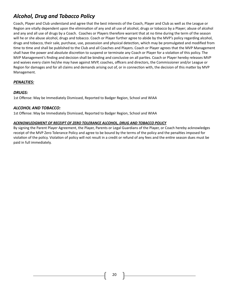# *Alcohol, Drug and Tobacco Policy*

Coach, Player and Club understand and agree that the best interests of the Coach, Player and Club as well as the League or Region are vitally dependent upon the elimination of any and all use of alcohol, drugs or tobacco by a Player; abuse of alcohol and any and all use of drugs by a Coach. Coaches or Players therefore warrant that at no time during the term of the season will he or she abuse alcohol, drugs and tobacco. Coach or Player further agree to abide by the MVP's policy regarding alcohol, drugs and tobacco, their sale, purchase, use, possession and physical detection, which may be promulgated and modified from time to time and shall be published to the Club and all Coaches and Players. Coach or Player agrees that the MVP Management shall have the power and absolute discretion to suspend or terminate any Coach or Player for a violation of this policy. The MVP Management's finding and decision shall be binding and conclusive on all parties. Coach or Player hereby releases MVP and waives every claim he/she may have against MVP, coaches, officers and directors, the Commissioner and/or League or Region for damages and for all claims and demands arising out of, or in connection with, the decision of this matter by MVP Management.

# *PENALTIES:*

#### *DRUGS:*

1st Offense: May be Immediately Dismissed, Reported to Badger Region, School and WIAA

#### *ALCOHOL AND TOBACCO:*

1st Offense: May be Immediately Dismissed, Reported to Badger Region, School and WIAA

#### *ACKNOWLEDGMENT OF RECEIPT OF ZERO TOLERANCE ALCOHOL, DRUG AND TOBACCO POLICY*

By signing the Parent Player Agreement, the Player, Parents or Legal Guardians of the Player, or Coach hereby acknowledges receipt of the MVP Zero Tolerance Policy and agree to be bound by the terms of the policy and the penalties imposed for violation of the policy. Violation of policy will not result in a credit or refund of any fees and the entire season dues must be paid in full immediately.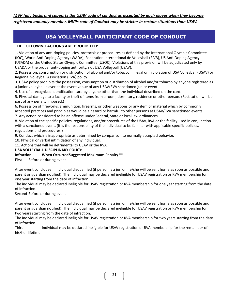*MVP fully backs and supports the USAV code of conduct as accepted by each player when they become registered annually member. MVPs code of Conduct may be stricter in certain situations than USAV.*

# **USA VOLLEYBALL PARTICIPANT CODE OF CONDUCT**

#### **THE FOLLOWING ACTIONS ARE PROHIBITED:**

1. Violation of any anti-doping policies, protocols or procedures as defined by the International Olympic Committee (IOC), World Anti-Doping Agency (WADA), Federation International de Volleyball (FIVB), US Anti-Doping Agency (USADA) or the United States Olympic Committee (USOC). Violations of this provision will be adjudicated only by USADA or the proper anti-doping authority, not USA Volleyball (USAV).

2. Possession, consumption or distribution of alcohol and/or tobacco if illegal or in violation of USA Volleyball (USAV) or Regional Volleyball Association (RVA) policy.

3. USAV policy prohibits the possession, consumption or distribution of alcohol and/or tobacco by anyone registered as a junior volleyball player at the event venue of any USAV/RVA sanctioned junior event.

4. Use of a recognized identification card by anyone other than the individual described on the card.

5. Physical damage to a facility or theft of items from a room, dormitory, residence or other person. (Restitution will be part of any penalty imposed.)

6. Possession of fireworks, ammunition, firearms, or other weapons or any item or material which by commonly accepted practices and principles would be a hazard or harmful to other persons at USAV/RVA sanctioned events.

7. Any action considered to be an offense under Federal, State or local law ordinances.

8. Violation of the specific policies, regulations, and/or procedures of the USAV, RVA or the facility used in conjunction with a sanctioned event. (It is the responsibility of the individual to be familiar with applicable specific policies, regulations and procedures.)

9. Conduct which is inappropriate as determined by comparison to normally accepted behavior.

10. Physical or verbal intimidation of any individual.

11. Actions that will be detrimental to USAV or the RVA.

#### **USA VOLLEYBALL DISCIPLINARY POLICY:**

## **Infraction When OccurredSuggested Maximum Penalty \*\***

First Before or during event

After event concludes Individual disqualified (if person is a junior, he/she will be sent home as soon as possible and parent or guardian notified). The individual may be declared ineligible for USAV registration or RVA membership for one year starting from the date of infraction.

The individual may be declared ineligible for USAV registration or RVA membership for one year starting from the date of infraction.

Second Before or during event

After event concludes Individual disqualified (if person is a junior, he/she will be sent home as soon as possible and parent or guardian notified). The individual may be declared ineligible for USAV registration or RVA membership for two years starting from the date of infraction.

The individual may be declared ineligible for USAV registration or RVA membership for two years starting from the date of infraction.

Third Individual may be declared ineligible for USAV registration or RVA membership for the remainder of his/her lifetime.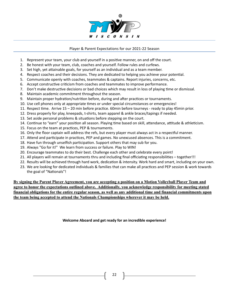

#### Player & Parent Expectations for our 2021-22 Season

- 1. Represent your team, your club and yourself in a positive manner, on and off the court.
- 2. Be honest with your team, club, coaches and yourself. Follow rules and curfews.
- 3. Set high, yet attainable goals, for yourself as an individual and as a team member.
- 4. Respect coaches and their decisions. They are dedicated to helping you achieve your potential.
- 5. Communicate openly with coaches, teammates & captains. Report injuries, concerns, etc.
- 6. Accept constructive criticism from coaches and teammates to improve performance.
- 7. Don't make destructive decisions or bad choices which may result in loss of playing time or dismissal.
- 8. Maintain academic commitment throughout the season.
- 9. Maintain proper hydration/nutrition before, during and after practices or tournaments.
- 10. Use cell phones only at appropriate times or under special circumstances or emergencies!
- 11. Respect time. Arrive 15 20 min before practice. 60min before tourneys ready to play 45min prior.
- 12. Dress properly for play, kneepads, t-shirts, team apparel & ankle braces/tapings if needed.
- 13. Set aside personal problems & situations before stepping on the court.
- 14. Continue to "earn" your position all season. Playing time based on skill, attendance, attitude & athleticism.
- 15. Focus on the team at practices, PEP & tournaments.
- 16. Only the floor captain will address the refs, but every player must always act in a respectful manner.
- 17. Attend and participate in practices, PEP and games. No unexcused absences. This is a commitment.
- 18. Have fun through unselfish participation. Support others that may sub for you.
- 19. Always "Go for it!" We learn from success or failure. Play to WIN!
- 20. Encourage teammates to do their best. Challenge each other and celebrate every point!
- 21. All players will remain at tournaments thru and including final officiating responsibilities together!!!
- 22. Results will be achieved through hard work, dedication & intensity. Work hard and smart, including on your own.
- 23. We are looking for dedicated individuals & families that can make all practices and PEP session & work towards the goal of "Nationals"!

**By signing the Parent Player Agreement, you are accepting a position on a Motion Volleyball Player Team and agree to honor the expectations outlined above. Additionally, you acknowledge responsibility for meeting stated financial obligations for the entire regular season, as well as any additional time and financial commitments upon the team being accepted to attend the Nationals Championships wherever it may be held.**

**Welcome Aboard and get ready for an incredible experience!**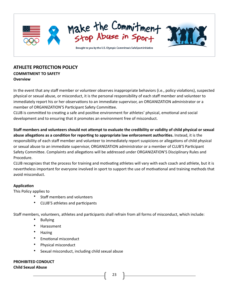

# **ATHLETE PROTECTION POLICY COMMITMENT TO SAFETY Overview**

In the event that any staff member or volunteer observes inappropriate behaviors (i.e., policy violations), suspected physical or sexual abuse, or misconduct, it is the personal responsibility of each staff member and volunteer to immediately report his or her observations to an immediate supervisor, an ORGANIZATION administrator or a member of ORGANIZATION'S Participant Safety Committee.

CLUB is committed to creating a safe and positive environment for athletes' physical, emotional and social development and to ensuring that it promotes an environment free of misconduct.

**Staff members and volunteers should not attempt to evaluate the credibility or validity of child physical or sexual abuse allegations as a condition for reporting to appropriate law enforcement authorities.** Instead, it is the responsibility of each staff member and volunteer to immediately report suspicions or allegations of child physical or sexual abuse to an immediate supervisor, ORGANIZATION administrator or a member of CLUB'S Participant Safety Committee. Complaints and allegations will be addressed under ORGANIZATION'S Disciplinary Rules and Procedure.

CLUB recognizes that the process for training and motivating athletes will vary with each coach and athlete, but it is nevertheless important for everyone involved in sport to support the use of motivational and training methods that avoid misconduct.

## **Application**

This Policy applies to

- Staff members and volunteers
- CLUB'S athletes and participants

Staff members, volunteers, athletes and participants shall refrain from all forms of misconduct, which include:

- **Bullying**
- Harassment
- Hazing
- Emotional misconduct
- Physical misconduct
- Sexual misconduct, including child sexual abuse

# **PROHIBITED CONDUCT**

#### **Child Sexual Abuse**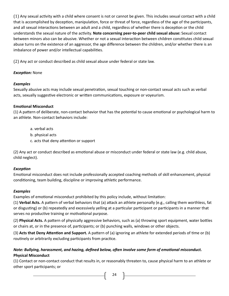(1) Any sexual activity with a child where consent is not or cannot be given. This includes sexual contact with a child that is accomplished by deception, manipulation, force or threat of force, regardless of the age of the participants, and all sexual interactions between an adult and a child, regardless of whether there is deception or the child understands the sexual nature of the activity. **Note concerning peer-to-peer child sexual abuse:** Sexual contact between minors also can be abusive. Whether or not a sexual interaction between children constitutes child sexual abuse turns on the existence of an aggressor, the age difference between the children, and/or whether there is an imbalance of power and/or intellectual capabilities.

(2) Any act or conduct described as child sexual abuse under federal or state law.

# *Exception:* None

# *Examples*

Sexually abusive acts may include sexual penetration, sexual touching or non-contact sexual acts such as verbal acts, sexually suggestive electronic or written communications, exposure or voyeurism.

# **Emotional Misconduct**

(1) A pattern of deliberate, non-contact behavior that has the potential to cause emotional or psychological harm to an athlete. Non-contact behaviors include:

- a. verbal acts
- b. physical acts
- c. acts that deny attention or support

(2) Any act or conduct described as emotional abuse or misconduct under federal or state law (e.g. child abuse, child neglect).

# *Exception*

Emotional misconduct does not include professionally accepted coaching methods of skill enhancement, physical conditioning, team building, discipline or improving athletic performance.

# *Examples*

Examples of emotional misconduct prohibited by this policy include, without limitation:

(1) **Verbal Acts.** A pattern of verbal behaviors that (a) attack an athlete personally (e.g., calling them worthless, fat or disgusting) or (b) repeatedly and excessively yelling at a particular participant or participants in a manner that serves no productive training or motivational purpose.

(2) **Physical Acts.** A pattern of physically aggressive behaviors, such as (a) throwing sport equipment, water bottles or chairs at, or in the presence of, participants; or (b) punching walls, windows or other objects.

(3) **Acts that Deny Attention and Support.** A pattern of (a) ignoring an athlete for extended periods of time or (b) routinely or arbitrarily excluding participants from practice.

# *Note: Bullying, harassment, and hazing, defined below, often involve some form of emotional misconduct.*  **Physical Misconduct**

(1) Contact or non-contact conduct that results in, or reasonably threaten to, cause physical harm to an athlete or other sport participants; or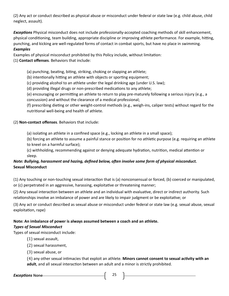(2) Any act or conduct described as physical abuse or misconduct under federal or state law (e.g. child abuse, child neglect, assault).

*Exceptions* Physical misconduct does not include professionally-accepted coaching methods of skill enhancement, physical conditioning, team building, appropriate discipline or improving athlete performance. For example, hitting, punching, and kicking are well-regulated forms of contact in combat sports, but have no place in swimming. *Examples* 

Examples of physical misconduct prohibited by this Policy include, without limitation:

## (1) **Contact offenses**. Behaviors that include:

## (a) punching, beating, biting, striking, choking or slapping an athlete;

- (b) intentionally hitting an athlete with objects or sporting equipment;
- (c) providing alcohol to an athlete under the legal drinking age (under U.S. law);

(d) providing illegal drugs or non-prescribed medications to any athlete;

(e) encouraging or permitting an athlete to return to play pre-maturely following a serious injury (e.g., a concussion) and without the clearance of a medical professional;

(f) prescribing dieting or other weight-control methods (e.g., weigh-ins, caliper tests) without regard for the nutritional well-being and health of athlete.

## (2) **Non-contact offenses**. Behaviors that include:

(a) isolating an athlete in a confined space (e.g., locking an athlete in a small space);

(b) forcing an athlete to assume a painful stance or position for no athletic purpose (e.g. requiring an athlete to kneel on a harmful surface);

(c) withholding, recommending against or denying adequate hydration, nutrition, medical attention or sleep.

# *Note: Bullying, harassment and hazing, defined below, often involve some form of physical misconduct.*  **Sexual Misconduct**

(1) Any touching or non-touching sexual interaction that is (a) nonconsensual or forced, (b) coerced or manipulated, or (c) perpetrated in an aggressive, harassing, exploitative or threatening manner;

(2) Any sexual interaction between an athlete and an individual with evaluative, direct or indirect authority. Such relationships involve an imbalance of power and are likely to impair judgment or be exploitative; or

(3) Any act or conduct described as sexual abuse or misconduct under federal or state law (e.g. sexual abuse, sexual exploitation, rape)

# **Note: An imbalance of power is always assumed between a coach and an athlete.**

## *Types of Sexual Misconduct*

Types of sexual misconduct include:

 $(1)$  sexual assault,

(2) sexual harassment,

(3) sexual abuse, or

(4) any other sexual intimacies that exploit an athlete. **Minors cannot consent to sexual activity with an adult**, and all sexual interaction between an adult and a minor is strictly prohibited.

*Exceptions* None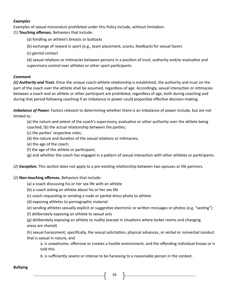#### *Examples*

Examples of sexual misconduct prohibited under this Policy include, without limitation:

(1) **Touching offenses.** Behaviors that include:

(a) fondling an athlete's breasts or buttocks

(b) exchange of reward in sport (e.g., team placement, scores, feedback) for sexual favors

(c) genital contact

(d) sexual relations or intimacies between persons in a position of trust, authority and/or evaluative and supervisory control over athletes or other sport participants.

## *Comment*

*(1) Authority and Trust.* Once the unique coach-athlete relationship is established, the authority and trust on the part of the coach over the athlete shall be assumed, regardless of age. Accordingly, sexual interaction or intimacies between a coach and an athlete or other participant are prohibited, regardless of age, both during coaching and during that period following coaching if an imbalance in power could jeopardize effective decision-making.

*Imbalance of Power.* Factors relevant to determining whether there is an imbalance of power include, but are not limited to:

(a) the nature and extent of the coach's supervisory, evaluative or other authority over the athlete being coached; (b) the actual relationship between the parties;

- (c) the parties' respective roles;
- (d) the nature and duration of the sexual relations or intimacies;
- (e) the age of the coach;
- (f) the age of the athlete or participant;

(g) and whether the coach has engaged in a pattern of sexual interaction with other athletes or participants.

*(2) Exception.* This section does not apply to a pre-existing relationship between two spouses or life partners.

## (2) **Non-touching offenses.** Behaviors that include:

- (a) a coach discussing his or her sex life with an athlete
- (b) a coach asking an athlete about his or her sex life
- (c) coach requesting or sending a nude or partial-dress photo to athlete
- (d) exposing athletes to pornographic material
- (e) sending athletes sexually explicit or suggestive electronic or written messages or photos (e.g. "sexting")
- (f) deliberately exposing an athlete to sexual acts

(g) deliberately exposing an athlete to nudity (except in situations where locker rooms and changing areas are shared)

(h) sexual harassment; specifically, the sexual solicitation, physical advances, or verbal or nonverbal conduct that is sexual in nature, and

a. is unwelcome, offensive or creates a hostile environment, and the offending individual knows or is told this

b. is sufficiently severe or intense to be harassing to a reasonable person in the context.

#### **Bullying**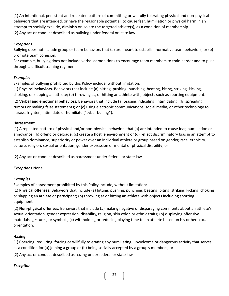(1) An intentional, persistent and repeated pattern of committing or willfully tolerating physical and non-physical behaviors that are intended, or have the reasonable potential, to cause fear, humiliation or physical harm in an attempt to socially exclude, diminish or isolate the targeted athlete(s), as a condition of membership (2) Any act or conduct described as bullying under federal or state law

## *Exceptions*

Bullying does not include group or team behaviors that (a) are meant to establish normative team behaviors, or (b) promote team cohesion.

For example, bullying does not include verbal admonitions to encourage team members to train harder and to push through a difficult training regimen.

# *Examples*

Examples of bullying prohibited by this Policy include, without limitation:

(1) **Physical behaviors.** Behaviors that include (a) hitting, pushing, punching, beating, biting, striking, kicking, choking, or slapping an athlete; (b) throwing at, or hitting an athlete with, objects such as sporting equipment.

(2) **Verbal and emotional behaviors.** Behaviors that include (a) teasing, ridiculing, intimidating; (b) spreading rumors or making false statements; or (c) using electronic communications, social media, or other technology to harass, frighten, intimidate or humiliate ("cyber bulling").

# **Harassment**

(1) A repeated pattern of physical and/or non-physical behaviors that (a) are intended to cause fear, humiliation or annoyance, (b) offend or degrade, (c) create a hostile environment or (d) reflect discriminatory bias in an attempt to establish dominance, superiority or power over an individual athlete or group based on gender, race, ethnicity, culture, religion, sexual orientation, gender expression or mental or physical disability; or

(2) Any act or conduct described as harassment under federal or state law

# *Exceptions* None

# *Examples*

Examples of harassment prohibited by this Policy include, without limitation:

(1) **Physical offenses.** Behaviors that include (a) hitting, pushing, punching, beating, biting, striking, kicking, choking or slapping an athlete or participant; (b) throwing at or hitting an athlete with objects including sporting equipment.

(2) **Non-physical offenses**. Behaviors that include (a) making negative or disparaging comments about an athlete's sexual orientation, gender expression, disability, religion, skin color, or ethnic traits; (b) displaying offensive materials, gestures, or symbols; (c) withholding or reducing playing time to an athlete based on his or her sexual orientation.

# **Hazing**

(1) Coercing, requiring, forcing or willfully tolerating any humiliating, unwelcome or dangerous activity that serves as a condition for (a) joining a group or (b) being socially accepted by a group's members; or

(2) Any act or conduct described as hazing under federal or state law

# *Exception*